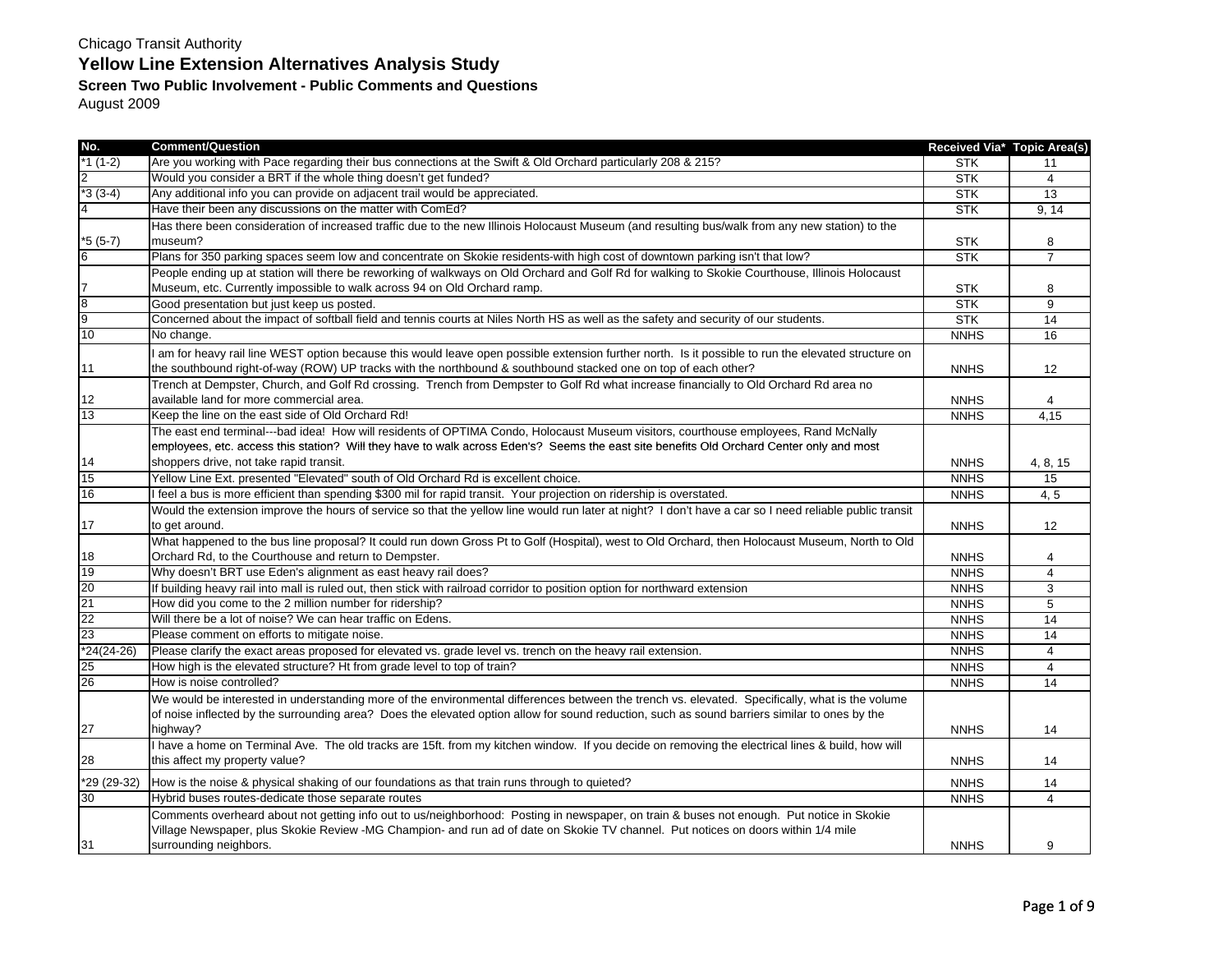August 2009

| No.             | <b>Comment/Question</b>                                                                                                                                                                                                                                                | Received Via* Topic Area(s) |                |
|-----------------|------------------------------------------------------------------------------------------------------------------------------------------------------------------------------------------------------------------------------------------------------------------------|-----------------------------|----------------|
| *1 (1-2)        | Are you working with Pace regarding their bus connections at the Swift & Old Orchard particularly 208 & 215?                                                                                                                                                           | <b>STK</b>                  | 11             |
| $\overline{2}$  | Would you consider a BRT if the whole thing doesn't get funded?                                                                                                                                                                                                        | <b>STK</b>                  | $\overline{4}$ |
| $*3(3-4)$       | Any additional info you can provide on adjacent trail would be appreciated.                                                                                                                                                                                            | <b>STK</b>                  | 13             |
|                 | Have their been any discussions on the matter with ComEd?                                                                                                                                                                                                              | <b>STK</b>                  | 9, 14          |
|                 | Has there been consideration of increased traffic due to the new Illinois Holocaust Museum (and resulting bus/walk from any new station) to the                                                                                                                        |                             |                |
| $*5(5-7)$       | museum?                                                                                                                                                                                                                                                                | <b>STK</b>                  | 8              |
| 6               | Plans for 350 parking spaces seem low and concentrate on Skokie residents-with high cost of downtown parking isn't that low?                                                                                                                                           | <b>STK</b>                  | $\overline{7}$ |
|                 | People ending up at station will there be reworking of walkways on Old Orchard and Golf Rd for walking to Skokie Courthouse, Illinois Holocaust                                                                                                                        |                             |                |
| 7               | Museum, etc. Currently impossible to walk across 94 on Old Orchard ramp.                                                                                                                                                                                               | <b>STK</b>                  | 8              |
| $\overline{8}$  | Good presentation but just keep us posted.                                                                                                                                                                                                                             | <b>STK</b>                  | 9              |
| 9               | Concerned about the impact of softball field and tennis courts at Niles North HS as well as the safety and security of our students.                                                                                                                                   | <b>STK</b>                  | 14             |
| 10              | No change.                                                                                                                                                                                                                                                             | <b>NNHS</b>                 | 16             |
| 11              | I am for heavy rail line WEST option because this would leave open possible extension further north. Is it possible to run the elevated structure on<br>the southbound right-of-way (ROW) UP tracks with the northbound & southbound stacked one on top of each other? | <b>NNHS</b>                 | 12             |
|                 | Trench at Dempster, Church, and Golf Rd crossing. Trench from Dempster to Golf Rd what increase financially to Old Orchard Rd area no                                                                                                                                  |                             |                |
| 12              | available land for more commercial area.                                                                                                                                                                                                                               | <b>NNHS</b>                 | 4              |
| 13              | Keep the line on the east side of Old Orchard Rd!                                                                                                                                                                                                                      | <b>NNHS</b>                 | 4,15           |
|                 | The east end terminal---bad idea! How will residents of OPTIMA Condo, Holocaust Museum visitors, courthouse employees, Rand McNally                                                                                                                                    |                             |                |
|                 | employees, etc. access this station? Will they have to walk across Eden's? Seems the east site benefits Old Orchard Center only and most                                                                                                                               |                             |                |
| 14              | shoppers drive, not take rapid transit.                                                                                                                                                                                                                                | <b>NNHS</b>                 | 4, 8, 15       |
| 15              | Yellow Line Ext. presented "Elevated" south of Old Orchard Rd is excellent choice.                                                                                                                                                                                     | <b>NNHS</b>                 | 15             |
| 16              | I feel a bus is more efficient than spending \$300 mil for rapid transit. Your projection on ridership is overstated.                                                                                                                                                  | <b>NNHS</b>                 | 4, 5           |
|                 | Would the extension improve the hours of service so that the yellow line would run later at night? I don't have a car so I need reliable public transit                                                                                                                |                             |                |
| 17              | to get around.                                                                                                                                                                                                                                                         | <b>NNHS</b>                 | 12             |
|                 | What happened to the bus line proposal? It could run down Gross Pt to Golf (Hospital), west to Old Orchard, then Holocaust Museum, North to Old                                                                                                                        |                             |                |
| 18              | Orchard Rd, to the Courthouse and return to Dempster.                                                                                                                                                                                                                  | <b>NNHS</b>                 | 4              |
| 19              | Why doesn't BRT use Eden's alignment as east heavy rail does?                                                                                                                                                                                                          | <b>NNHS</b>                 | $\overline{4}$ |
| 20              | If building heavy rail into mall is ruled out, then stick with railroad corridor to position option for northward extension                                                                                                                                            | <b>NNHS</b>                 | 3              |
| $\overline{21}$ | How did you come to the 2 million number for ridership?                                                                                                                                                                                                                | <b>NNHS</b>                 | 5              |
| 22              | Will there be a lot of noise? We can hear traffic on Edens.                                                                                                                                                                                                            | <b>NNHS</b>                 | 14             |
| 23              | Please comment on efforts to mitigate noise.                                                                                                                                                                                                                           | <b>NNHS</b>                 | 14             |
| $*24(24-26)$    | Please clarify the exact areas proposed for elevated vs. grade level vs. trench on the heavy rail extension.                                                                                                                                                           | <b>NNHS</b>                 | 4              |
| 25              | How high is the elevated structure? Ht from grade level to top of train?                                                                                                                                                                                               | <b>NNHS</b>                 | 4              |
| 26              | How is noise controlled?                                                                                                                                                                                                                                               | <b>NNHS</b>                 | 14             |
|                 | We would be interested in understanding more of the environmental differences between the trench vs. elevated. Specifically, what is the volume                                                                                                                        |                             |                |
|                 | of noise inflected by the surrounding area? Does the elevated option allow for sound reduction, such as sound barriers similar to ones by the                                                                                                                          |                             |                |
| 27              | highway?                                                                                                                                                                                                                                                               | <b>NNHS</b>                 | 14             |
|                 | I have a home on Terminal Ave. The old tracks are 15ft. from my kitchen window. If you decide on removing the electrical lines & build, how will                                                                                                                       |                             |                |
| 28              | this affect my property value?                                                                                                                                                                                                                                         | <b>NNHS</b>                 | 14             |
| *29 (29-32)     | How is the noise & physical shaking of our foundations as that train runs through to quieted?                                                                                                                                                                          | <b>NNHS</b>                 | 14             |
| 30              | Hybrid buses routes-dedicate those separate routes                                                                                                                                                                                                                     | <b>NNHS</b>                 | $\overline{4}$ |
|                 | Comments overheard about not getting info out to us/neighborhood: Posting in newspaper, on train & buses not enough. Put notice in Skokie                                                                                                                              |                             |                |
|                 | Village Newspaper, plus Skokie Review -MG Champion- and run ad of date on Skokie TV channel. Put notices on doors within 1/4 mile                                                                                                                                      |                             |                |
| 31              | surrounding neighbors.                                                                                                                                                                                                                                                 | <b>NNHS</b>                 | 9              |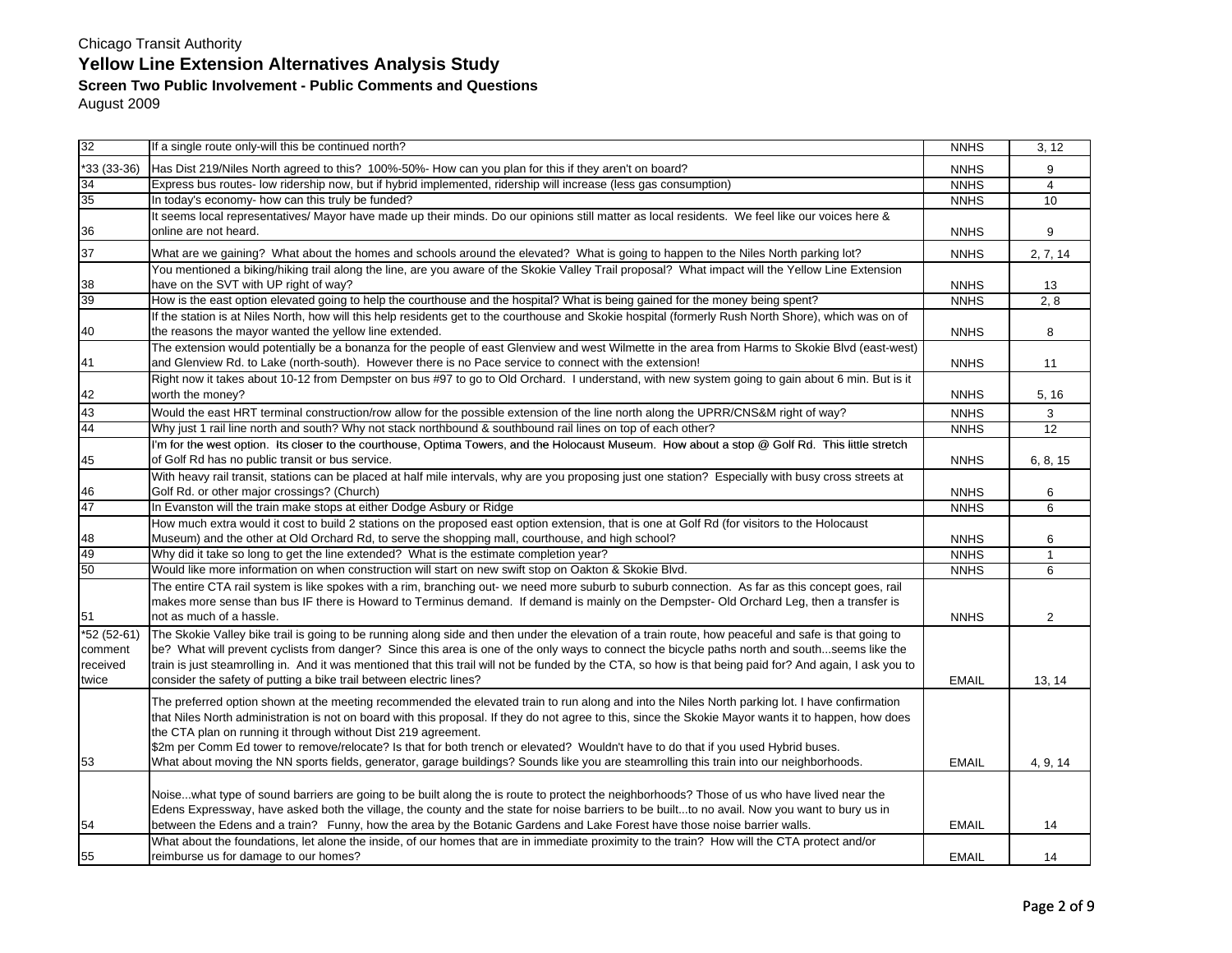| 32          | If a single route only-will this be continued north?                                                                                                      | <b>NNHS</b>  | 3, 12           |
|-------------|-----------------------------------------------------------------------------------------------------------------------------------------------------------|--------------|-----------------|
| *33 (33-36) | Has Dist 219/Niles North agreed to this? 100%-50%- How can you plan for this if they aren't on board?                                                     | <b>NNHS</b>  | 9               |
| 34          | Express bus routes- low ridership now, but if hybrid implemented, ridership will increase (less gas consumption)                                          | <b>NNHS</b>  | $\overline{4}$  |
| 35          | In today's economy- how can this truly be funded?                                                                                                         | <b>NNHS</b>  | 10              |
|             | It seems local representatives/ Mayor have made up their minds. Do our opinions still matter as local residents. We feel like our voices here &           |              |                 |
| 36          | online are not heard.                                                                                                                                     | <b>NNHS</b>  | 9               |
| 37          | What are we gaining? What about the homes and schools around the elevated? What is going to happen to the Niles North parking lot?                        | <b>NNHS</b>  | 2, 7, 14        |
|             | You mentioned a biking/hiking trail along the line, are you aware of the Skokie Valley Trail proposal? What impact will the Yellow Line Extension         |              |                 |
| 38          | have on the SVT with UP right of way?                                                                                                                     | <b>NNHS</b>  | 13              |
| 39          | How is the east option elevated going to help the courthouse and the hospital? What is being gained for the money being spent?                            | <b>NNHS</b>  | 2, 8            |
|             | If the station is at Niles North, how will this help residents get to the courthouse and Skokie hospital (formerly Rush North Shore), which was on of     |              |                 |
| 40          | the reasons the mayor wanted the yellow line extended.                                                                                                    | <b>NNHS</b>  | 8               |
|             | The extension would potentially be a bonanza for the people of east Glenview and west Wilmette in the area from Harms to Skokie Blvd (east-west)          |              |                 |
| 41          | and Glenview Rd. to Lake (north-south). However there is no Pace service to connect with the extension!                                                   | <b>NNHS</b>  | 11              |
|             | Right now it takes about 10-12 from Dempster on bus #97 to go to Old Orchard. I understand, with new system going to gain about 6 min. But is it          |              |                 |
| 42          | worth the money?                                                                                                                                          | <b>NNHS</b>  | 5, 16           |
| 43          | Would the east HRT terminal construction/row allow for the possible extension of the line north along the UPRR/CNS&M right of way?                        | <b>NNHS</b>  | 3               |
| 44          | Why just 1 rail line north and south? Why not stack northbound & southbound rail lines on top of each other?                                              | <b>NNHS</b>  | $\overline{12}$ |
|             | I'm for the west option. Its closer to the courthouse, Optima Towers, and the Holocaust Museum. How about a stop @ Golf Rd. This little stretch           |              |                 |
| 45          | of Golf Rd has no public transit or bus service.                                                                                                          | <b>NNHS</b>  | 6, 8, 15        |
|             | With heavy rail transit, stations can be placed at half mile intervals, why are you proposing just one station? Especially with busy cross streets at     |              |                 |
| 46          | Golf Rd. or other major crossings? (Church)                                                                                                               | <b>NNHS</b>  | 6               |
| 47          | In Evanston will the train make stops at either Dodge Asbury or Ridge                                                                                     | <b>NNHS</b>  | 6               |
|             | How much extra would it cost to build 2 stations on the proposed east option extension, that is one at Golf Rd (for visitors to the Holocaust             |              |                 |
| 48          | Museum) and the other at Old Orchard Rd, to serve the shopping mall, courthouse, and high school?                                                         | <b>NNHS</b>  | 6               |
| 49          | Why did it take so long to get the line extended? What is the estimate completion year?                                                                   | <b>NNHS</b>  | $\mathbf{1}$    |
| 50          | Would like more information on when construction will start on new swift stop on Oakton & Skokie Blvd.                                                    | <b>NNHS</b>  | 6               |
|             | The entire CTA rail system is like spokes with a rim, branching out- we need more suburb to suburb connection. As far as this concept goes, rail          |              |                 |
|             | makes more sense than bus IF there is Howard to Terminus demand. If demand is mainly on the Dempster-Old Orchard Leg, then a transfer is                  |              |                 |
| 51          | not as much of a hassle.                                                                                                                                  | <b>NNHS</b>  | $\overline{2}$  |
| *52 (52-61) | The Skokie Valley bike trail is going to be running along side and then under the elevation of a train route, how peaceful and safe is that going to      |              |                 |
| comment     | be? What will prevent cyclists from danger? Since this area is one of the only ways to connect the bicycle paths north and southseems like the            |              |                 |
| received    | train is just steamrolling in. And it was mentioned that this trail will not be funded by the CTA, so how is that being paid for? And again, I ask you to |              |                 |
| twice       | consider the safety of putting a bike trail between electric lines?                                                                                       | <b>EMAIL</b> | 13, 14          |
|             |                                                                                                                                                           |              |                 |
|             | The preferred option shown at the meeting recommended the elevated train to run along and into the Niles North parking lot. I have confirmation           |              |                 |
|             | that Niles North administration is not on board with this proposal. If they do not agree to this, since the Skokie Mayor wants it to happen, how does     |              |                 |
|             | the CTA plan on running it through without Dist 219 agreement.                                                                                            |              |                 |
|             | \$2m per Comm Ed tower to remove/relocate? Is that for both trench or elevated? Wouldn't have to do that if you used Hybrid buses.                        |              |                 |
| 53          | What about moving the NN sports fields, generator, garage buildings? Sounds like you are steamrolling this train into our neighborhoods.                  | <b>EMAIL</b> | 4, 9, 14        |
|             |                                                                                                                                                           |              |                 |
|             | Noisewhat type of sound barriers are going to be built along the is route to protect the neighborhoods? Those of us who have lived near the               |              |                 |
|             | Edens Expressway, have asked both the village, the county and the state for noise barriers to be builtto no avail. Now you want to bury us in             |              |                 |
| 54          | between the Edens and a train? Funny, how the area by the Botanic Gardens and Lake Forest have those noise barrier walls.                                 | <b>EMAIL</b> | 14              |
|             | What about the foundations, let alone the inside, of our homes that are in immediate proximity to the train? How will the CTA protect and/or              |              |                 |
| 55          | reimburse us for damage to our homes?                                                                                                                     | <b>EMAIL</b> | 14              |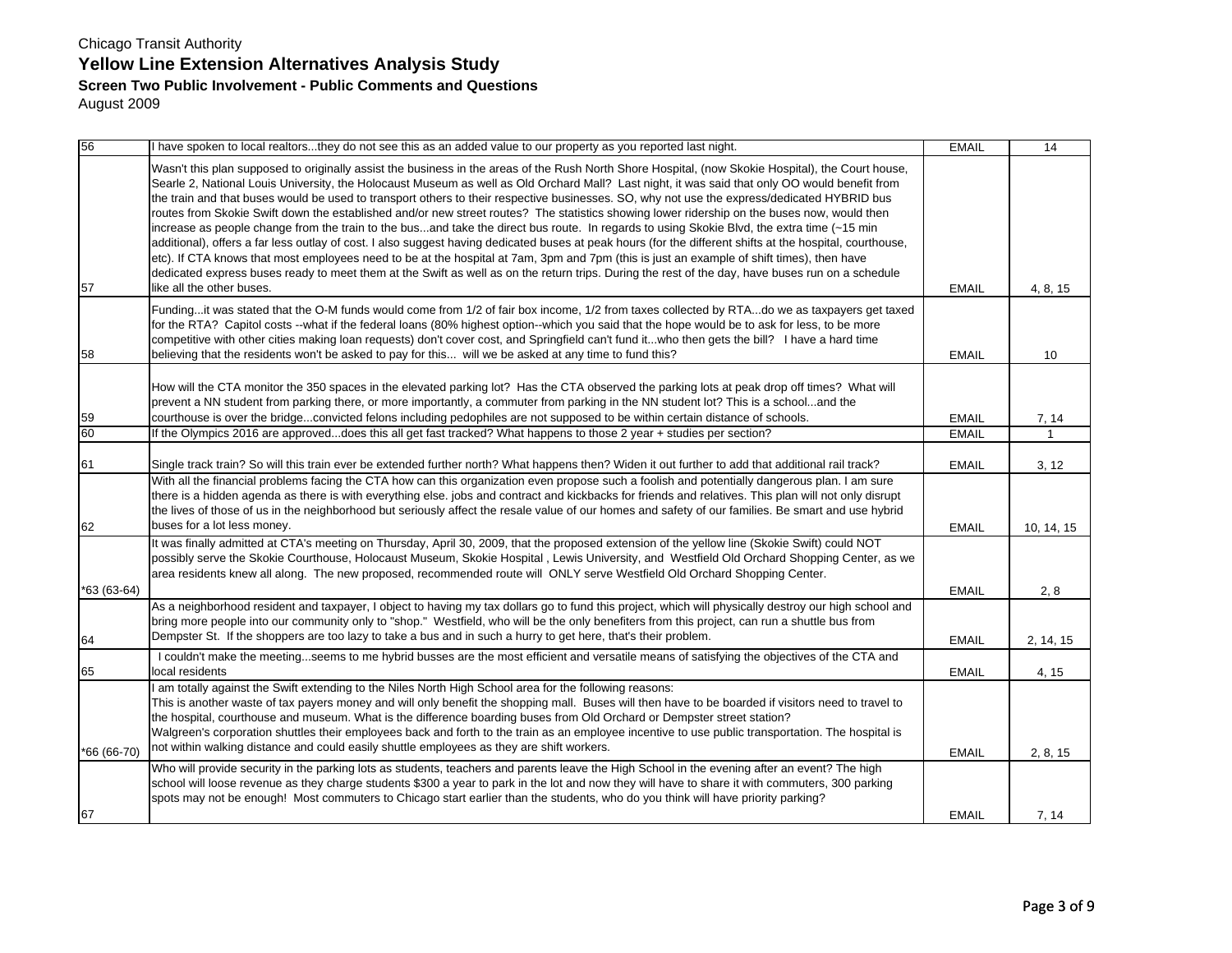| 56              | I have spoken to local realtorsthey do not see this as an added value to our property as you reported last night.                                                                                                                                                                                                                                                                                                                                                                                                                                                                                                                                                                                                                                                                                                                                                                                                                                                                                                                                                                                                                                                                                                                           | <b>EMAIL</b> | $\overline{14}$ |
|-----------------|---------------------------------------------------------------------------------------------------------------------------------------------------------------------------------------------------------------------------------------------------------------------------------------------------------------------------------------------------------------------------------------------------------------------------------------------------------------------------------------------------------------------------------------------------------------------------------------------------------------------------------------------------------------------------------------------------------------------------------------------------------------------------------------------------------------------------------------------------------------------------------------------------------------------------------------------------------------------------------------------------------------------------------------------------------------------------------------------------------------------------------------------------------------------------------------------------------------------------------------------|--------------|-----------------|
| 57              | Wasn't this plan supposed to originally assist the business in the areas of the Rush North Shore Hospital, (now Skokie Hospital), the Court house,<br>Searle 2, National Louis University, the Holocaust Museum as well as Old Orchard Mall? Last night, it was said that only OO would benefit from<br>the train and that buses would be used to transport others to their respective businesses. SO, why not use the express/dedicated HYBRID bus<br>routes from Skokie Swift down the established and/or new street routes? The statistics showing lower ridership on the buses now, would then<br>increase as people change from the train to the busand take the direct bus route. In regards to using Skokie Blvd, the extra time (~15 min<br>additional), offers a far less outlay of cost. I also suggest having dedicated buses at peak hours (for the different shifts at the hospital, courthouse,<br>etc). If CTA knows that most employees need to be at the hospital at 7am, 3pm and 7pm (this is just an example of shift times), then have<br>dedicated express buses ready to meet them at the Swift as well as on the return trips. During the rest of the day, have buses run on a schedule<br>like all the other buses. | <b>EMAIL</b> | 4, 8, 15        |
| 58              | Fundingit was stated that the O-M funds would come from 1/2 of fair box income, 1/2 from taxes collected by RTAdo we as taxpayers get taxed<br>for the RTA? Capitol costs --what if the federal loans (80% highest option--which you said that the hope would be to ask for less, to be more<br>competitive with other cities making loan requests) don't cover cost, and Springfield can't fund itwho then gets the bill? I have a hard time<br>believing that the residents won't be asked to pay for this will we be asked at any time to fund this?                                                                                                                                                                                                                                                                                                                                                                                                                                                                                                                                                                                                                                                                                     | <b>EMAIL</b> | 10              |
| $\frac{59}{60}$ | How will the CTA monitor the 350 spaces in the elevated parking lot? Has the CTA observed the parking lots at peak drop off times? What will<br>prevent a NN student from parking there, or more importantly, a commuter from parking in the NN student lot? This is a schooland the<br>courthouse is over the bridgeconvicted felons including pedophiles are not supposed to be within certain distance of schools.                                                                                                                                                                                                                                                                                                                                                                                                                                                                                                                                                                                                                                                                                                                                                                                                                       | <b>EMAIL</b> | 7, 14           |
|                 | If the Olympics 2016 are approveddoes this all get fast tracked? What happens to those 2 year + studies per section?                                                                                                                                                                                                                                                                                                                                                                                                                                                                                                                                                                                                                                                                                                                                                                                                                                                                                                                                                                                                                                                                                                                        | <b>EMAIL</b> | $\mathbf{1}$    |
| 61              | Single track train? So will this train ever be extended further north? What happens then? Widen it out further to add that additional rail track?                                                                                                                                                                                                                                                                                                                                                                                                                                                                                                                                                                                                                                                                                                                                                                                                                                                                                                                                                                                                                                                                                           | <b>EMAIL</b> | 3, 12           |
| 62              | With all the financial problems facing the CTA how can this organization even propose such a foolish and potentially dangerous plan. I am sure<br>there is a hidden agenda as there is with everything else, jobs and contract and kickbacks for friends and relatives. This plan will not only disrupt<br>the lives of those of us in the neighborhood but seriously affect the resale value of our homes and safety of our families. Be smart and use hybrid<br>buses for a lot less money.                                                                                                                                                                                                                                                                                                                                                                                                                                                                                                                                                                                                                                                                                                                                               | <b>EMAIL</b> | 10, 14, 15      |
| $*63(63-64)$    | It was finally admitted at CTA's meeting on Thursday, April 30, 2009, that the proposed extension of the yellow line (Skokie Swift) could NOT<br>possibly serve the Skokie Courthouse, Holocaust Museum, Skokie Hospital, Lewis University, and Westfield Old Orchard Shopping Center, as we<br>area residents knew all along. The new proposed, recommended route will ONLY serve Westfield Old Orchard Shopping Center.                                                                                                                                                                                                                                                                                                                                                                                                                                                                                                                                                                                                                                                                                                                                                                                                                   | <b>EMAIL</b> | 2, 8            |
| 64              | As a neighborhood resident and taxpayer, I object to having my tax dollars go to fund this project, which will physically destroy our high school and<br>bring more people into our community only to "shop." Westfield, who will be the only benefiters from this project, can run a shuttle bus from<br>Dempster St. If the shoppers are too lazy to take a bus and in such a hurry to get here, that's their problem.                                                                                                                                                                                                                                                                                                                                                                                                                                                                                                                                                                                                                                                                                                                                                                                                                    | <b>EMAIL</b> | 2, 14, 15       |
| 65              | I couldn't make the meetingseems to me hybrid busses are the most efficient and versatile means of satisfying the objectives of the CTA and<br>local residents                                                                                                                                                                                                                                                                                                                                                                                                                                                                                                                                                                                                                                                                                                                                                                                                                                                                                                                                                                                                                                                                              | <b>EMAIL</b> | 4, 15           |
| *66 (66-70)     | I am totally against the Swift extending to the Niles North High School area for the following reasons:<br>This is another waste of tax payers money and will only benefit the shopping mall. Buses will then have to be boarded if visitors need to travel to<br>the hospital, courthouse and museum. What is the difference boarding buses from Old Orchard or Dempster street station?<br>Walgreen's corporation shuttles their employees back and forth to the train as an employee incentive to use public transportation. The hospital is<br>not within walking distance and could easily shuttle employees as they are shift workers.                                                                                                                                                                                                                                                                                                                                                                                                                                                                                                                                                                                                | <b>EMAIL</b> | 2, 8, 15        |
| 67              | Who will provide security in the parking lots as students, teachers and parents leave the High School in the evening after an event? The high<br>school will loose revenue as they charge students \$300 a year to park in the lot and now they will have to share it with commuters, 300 parking<br>spots may not be enough! Most commuters to Chicago start earlier than the students, who do you think will have priority parking?                                                                                                                                                                                                                                                                                                                                                                                                                                                                                                                                                                                                                                                                                                                                                                                                       | <b>EMAIL</b> | 7, 14           |
|                 |                                                                                                                                                                                                                                                                                                                                                                                                                                                                                                                                                                                                                                                                                                                                                                                                                                                                                                                                                                                                                                                                                                                                                                                                                                             |              |                 |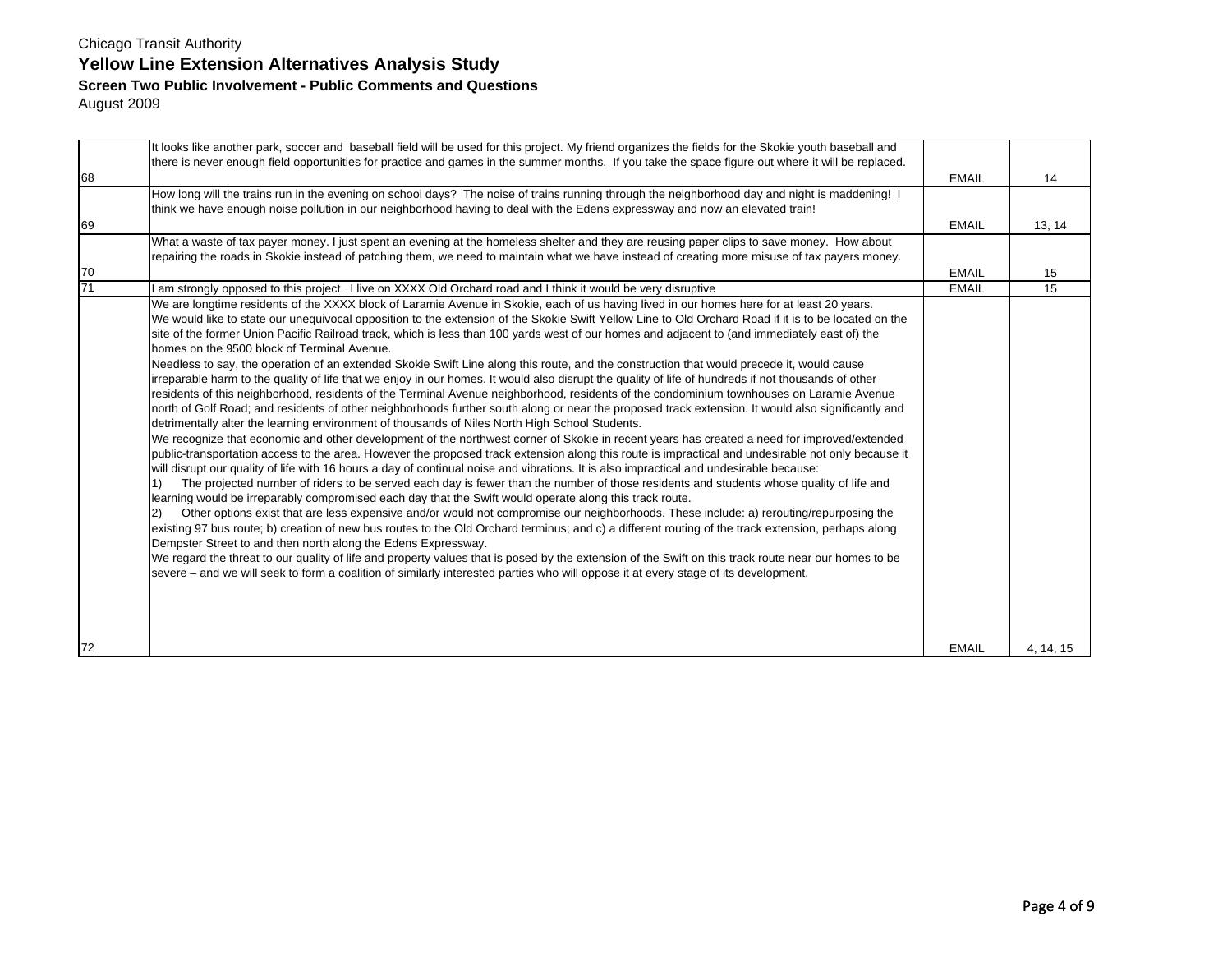|                 | It looks like another park, soccer and baseball field will be used for this project. My friend organizes the fields for the Skokie youth baseball and<br>there is never enough field opportunities for practice and games in the summer months. If you take the space figure out where it will be replaced.                                                                                                                                                                                                                                                                                                                                                                                                                                                                                                                                                                                                                                                                                                                                                                                                                                                                                                                                                                                                                                                                                                                                                                                                                                                                                                                                                                                                                                                                                                                                                                                                                                                                                                                                                                                                                                                                                                                                                                                                                                                                                                                                                                                                                                                                            |              |           |
|-----------------|----------------------------------------------------------------------------------------------------------------------------------------------------------------------------------------------------------------------------------------------------------------------------------------------------------------------------------------------------------------------------------------------------------------------------------------------------------------------------------------------------------------------------------------------------------------------------------------------------------------------------------------------------------------------------------------------------------------------------------------------------------------------------------------------------------------------------------------------------------------------------------------------------------------------------------------------------------------------------------------------------------------------------------------------------------------------------------------------------------------------------------------------------------------------------------------------------------------------------------------------------------------------------------------------------------------------------------------------------------------------------------------------------------------------------------------------------------------------------------------------------------------------------------------------------------------------------------------------------------------------------------------------------------------------------------------------------------------------------------------------------------------------------------------------------------------------------------------------------------------------------------------------------------------------------------------------------------------------------------------------------------------------------------------------------------------------------------------------------------------------------------------------------------------------------------------------------------------------------------------------------------------------------------------------------------------------------------------------------------------------------------------------------------------------------------------------------------------------------------------------------------------------------------------------------------------------------------------|--------------|-----------|
| 68              |                                                                                                                                                                                                                                                                                                                                                                                                                                                                                                                                                                                                                                                                                                                                                                                                                                                                                                                                                                                                                                                                                                                                                                                                                                                                                                                                                                                                                                                                                                                                                                                                                                                                                                                                                                                                                                                                                                                                                                                                                                                                                                                                                                                                                                                                                                                                                                                                                                                                                                                                                                                        | <b>EMAIL</b> | 14        |
|                 | How long will the trains run in the evening on school days? The noise of trains running through the neighborhood day and night is maddening! I<br>think we have enough noise pollution in our neighborhood having to deal with the Edens expressway and now an elevated train!                                                                                                                                                                                                                                                                                                                                                                                                                                                                                                                                                                                                                                                                                                                                                                                                                                                                                                                                                                                                                                                                                                                                                                                                                                                                                                                                                                                                                                                                                                                                                                                                                                                                                                                                                                                                                                                                                                                                                                                                                                                                                                                                                                                                                                                                                                         |              |           |
| 69              |                                                                                                                                                                                                                                                                                                                                                                                                                                                                                                                                                                                                                                                                                                                                                                                                                                                                                                                                                                                                                                                                                                                                                                                                                                                                                                                                                                                                                                                                                                                                                                                                                                                                                                                                                                                                                                                                                                                                                                                                                                                                                                                                                                                                                                                                                                                                                                                                                                                                                                                                                                                        | <b>EMAIL</b> | 13, 14    |
|                 | What a waste of tax payer money. I just spent an evening at the homeless shelter and they are reusing paper clips to save money. How about                                                                                                                                                                                                                                                                                                                                                                                                                                                                                                                                                                                                                                                                                                                                                                                                                                                                                                                                                                                                                                                                                                                                                                                                                                                                                                                                                                                                                                                                                                                                                                                                                                                                                                                                                                                                                                                                                                                                                                                                                                                                                                                                                                                                                                                                                                                                                                                                                                             |              |           |
|                 | repairing the roads in Skokie instead of patching them, we need to maintain what we have instead of creating more misuse of tax payers money.                                                                                                                                                                                                                                                                                                                                                                                                                                                                                                                                                                                                                                                                                                                                                                                                                                                                                                                                                                                                                                                                                                                                                                                                                                                                                                                                                                                                                                                                                                                                                                                                                                                                                                                                                                                                                                                                                                                                                                                                                                                                                                                                                                                                                                                                                                                                                                                                                                          |              |           |
| 70              |                                                                                                                                                                                                                                                                                                                                                                                                                                                                                                                                                                                                                                                                                                                                                                                                                                                                                                                                                                                                                                                                                                                                                                                                                                                                                                                                                                                                                                                                                                                                                                                                                                                                                                                                                                                                                                                                                                                                                                                                                                                                                                                                                                                                                                                                                                                                                                                                                                                                                                                                                                                        | <b>EMAIL</b> | 15        |
| $\overline{71}$ | am strongly opposed to this project. I live on XXXX Old Orchard road and I think it would be very disruptive                                                                                                                                                                                                                                                                                                                                                                                                                                                                                                                                                                                                                                                                                                                                                                                                                                                                                                                                                                                                                                                                                                                                                                                                                                                                                                                                                                                                                                                                                                                                                                                                                                                                                                                                                                                                                                                                                                                                                                                                                                                                                                                                                                                                                                                                                                                                                                                                                                                                           | <b>EMAIL</b> | 15        |
|                 | We are longtime residents of the XXXX block of Laramie Avenue in Skokie, each of us having lived in our homes here for at least 20 years.<br>We would like to state our unequivocal opposition to the extension of the Skokie Swift Yellow Line to Old Orchard Road if it is to be located on the<br>site of the former Union Pacific Railroad track, which is less than 100 yards west of our homes and adjacent to (and immediately east of) the<br>homes on the 9500 block of Terminal Avenue.<br>Needless to say, the operation of an extended Skokie Swift Line along this route, and the construction that would precede it, would cause<br>irreparable harm to the quality of life that we enjoy in our homes. It would also disrupt the quality of life of hundreds if not thousands of other<br>residents of this neighborhood, residents of the Terminal Avenue neighborhood, residents of the condominium townhouses on Laramie Avenue<br>north of Golf Road; and residents of other neighborhoods further south along or near the proposed track extension. It would also significantly and<br>detrimentally alter the learning environment of thousands of Niles North High School Students.<br>We recognize that economic and other development of the northwest corner of Skokie in recent years has created a need for improved/extended<br>public-transportation access to the area. However the proposed track extension along this route is impractical and undesirable not only because it<br>will disrupt our quality of life with 16 hours a day of continual noise and vibrations. It is also impractical and undesirable because:<br>The projected number of riders to be served each day is fewer than the number of those residents and students whose quality of life and<br>learning would be irreparably compromised each day that the Swift would operate along this track route.<br>Other options exist that are less expensive and/or would not compromise our neighborhoods. These include: a) rerouting/repurposing the<br>(2)<br>existing 97 bus route; b) creation of new bus routes to the Old Orchard terminus; and c) a different routing of the track extension, perhaps along<br>Dempster Street to and then north along the Edens Expressway.<br>We regard the threat to our quality of life and property values that is posed by the extension of the Swift on this track route near our homes to be<br>severe – and we will seek to form a coalition of similarly interested parties who will oppose it at every stage of its development. |              |           |
| 72              |                                                                                                                                                                                                                                                                                                                                                                                                                                                                                                                                                                                                                                                                                                                                                                                                                                                                                                                                                                                                                                                                                                                                                                                                                                                                                                                                                                                                                                                                                                                                                                                                                                                                                                                                                                                                                                                                                                                                                                                                                                                                                                                                                                                                                                                                                                                                                                                                                                                                                                                                                                                        | <b>EMAIL</b> | 4, 14, 15 |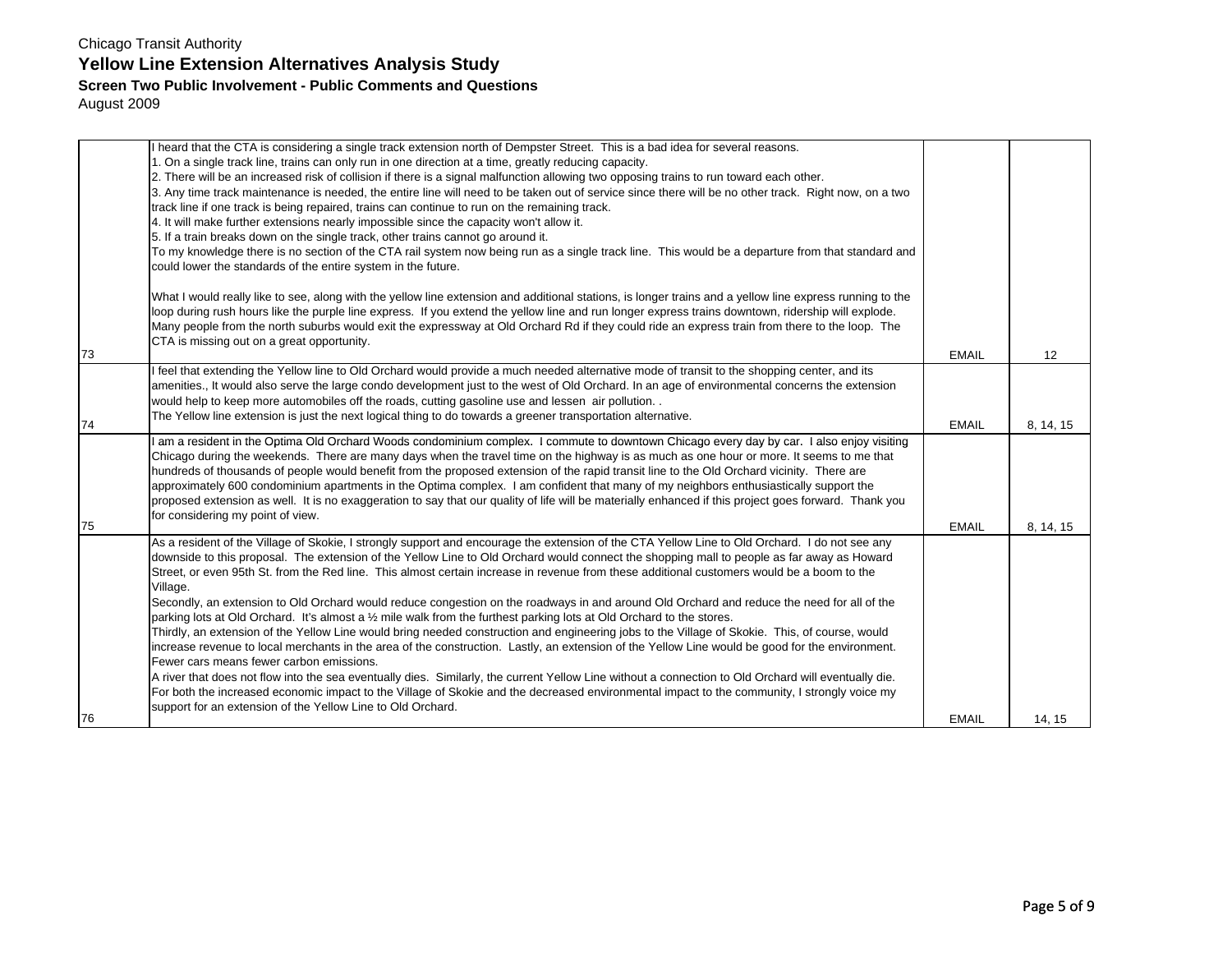# Chicago Transit Authority **Yellow Line Extension Alternatives Analysis Study**

#### **Screen Two Public Involvement - Public Comments and Questions**

August 2009

|    | I heard that the CTA is considering a single track extension north of Dempster Street. This is a bad idea for several reasons.                           |              |           |
|----|----------------------------------------------------------------------------------------------------------------------------------------------------------|--------------|-----------|
|    | 1. On a single track line, trains can only run in one direction at a time, greatly reducing capacity.                                                    |              |           |
|    | 2. There will be an increased risk of collision if there is a signal malfunction allowing two opposing trains to run toward each other.                  |              |           |
|    | 3. Any time track maintenance is needed, the entire line will need to be taken out of service since there will be no other track. Right now, on a two    |              |           |
|    | track line if one track is being repaired, trains can continue to run on the remaining track.                                                            |              |           |
|    | 4. It will make further extensions nearly impossible since the capacity won't allow it.                                                                  |              |           |
|    | 5. If a train breaks down on the single track, other trains cannot go around it.                                                                         |              |           |
|    | To my knowledge there is no section of the CTA rail system now being run as a single track line. This would be a departure from that standard and        |              |           |
|    | could lower the standards of the entire system in the future.                                                                                            |              |           |
|    |                                                                                                                                                          |              |           |
|    | What I would really like to see, along with the yellow line extension and additional stations, is longer trains and a yellow line express running to the |              |           |
|    | loop during rush hours like the purple line express. If you extend the yellow line and run longer express trains downtown, ridership will explode.       |              |           |
|    | Many people from the north suburbs would exit the expressway at Old Orchard Rd if they could ride an express train from there to the loop. The           |              |           |
|    | CTA is missing out on a great opportunity.                                                                                                               |              |           |
| 73 |                                                                                                                                                          | <b>EMAIL</b> | 12        |
|    | I feel that extending the Yellow line to Old Orchard would provide a much needed alternative mode of transit to the shopping center, and its             |              |           |
|    | amenities., It would also serve the large condo development just to the west of Old Orchard. In an age of environmental concerns the extension           |              |           |
|    | would help to keep more automobiles off the roads, cutting gasoline use and lessen air pollution                                                         |              |           |
|    | The Yellow line extension is just the next logical thing to do towards a greener transportation alternative.                                             |              |           |
| 74 |                                                                                                                                                          | <b>EMAIL</b> | 8, 14, 15 |
|    | I am a resident in the Optima Old Orchard Woods condominium complex. I commute to downtown Chicago every day by car. I also enjoy visiting               |              |           |
|    | Chicago during the weekends. There are many days when the travel time on the highway is as much as one hour or more. It seems to me that                 |              |           |
|    | hundreds of thousands of people would benefit from the proposed extension of the rapid transit line to the Old Orchard vicinity. There are               |              |           |
|    | approximately 600 condominium apartments in the Optima complex. I am confident that many of my neighbors enthusiastically support the                    |              |           |
|    | proposed extension as well. It is no exaggeration to say that our quality of life will be materially enhanced if this project goes forward. Thank you    |              |           |
|    | for considering my point of view.                                                                                                                        |              |           |
| 75 |                                                                                                                                                          | <b>EMAIL</b> | 8, 14, 15 |
|    | As a resident of the Village of Skokie, I strongly support and encourage the extension of the CTA Yellow Line to Old Orchard. I do not see any           |              |           |
|    | downside to this proposal. The extension of the Yellow Line to Old Orchard would connect the shopping mall to people as far away as Howard               |              |           |
|    | Street, or even 95th St. from the Red line. This almost certain increase in revenue from these additional customers would be a boom to the               |              |           |
|    | Village.                                                                                                                                                 |              |           |
|    | Secondly, an extension to Old Orchard would reduce congestion on the roadways in and around Old Orchard and reduce the need for all of the               |              |           |
|    | parking lots at Old Orchard. It's almost a 1/2 mile walk from the furthest parking lots at Old Orchard to the stores.                                    |              |           |
|    | Thirdly, an extension of the Yellow Line would bring needed construction and engineering jobs to the Village of Skokie. This, of course, would           |              |           |
|    | increase revenue to local merchants in the area of the construction. Lastly, an extension of the Yellow Line would be good for the environment.          |              |           |
|    | Fewer cars means fewer carbon emissions.                                                                                                                 |              |           |
|    | A river that does not flow into the sea eventually dies. Similarly, the current Yellow Line without a connection to Old Orchard will eventually die.     |              |           |
|    | For both the increased economic impact to the Village of Skokie and the decreased environmental impact to the community, I strongly voice my             |              |           |
| 76 | support for an extension of the Yellow Line to Old Orchard.                                                                                              |              |           |
|    |                                                                                                                                                          | <b>EMAIL</b> | 14, 15    |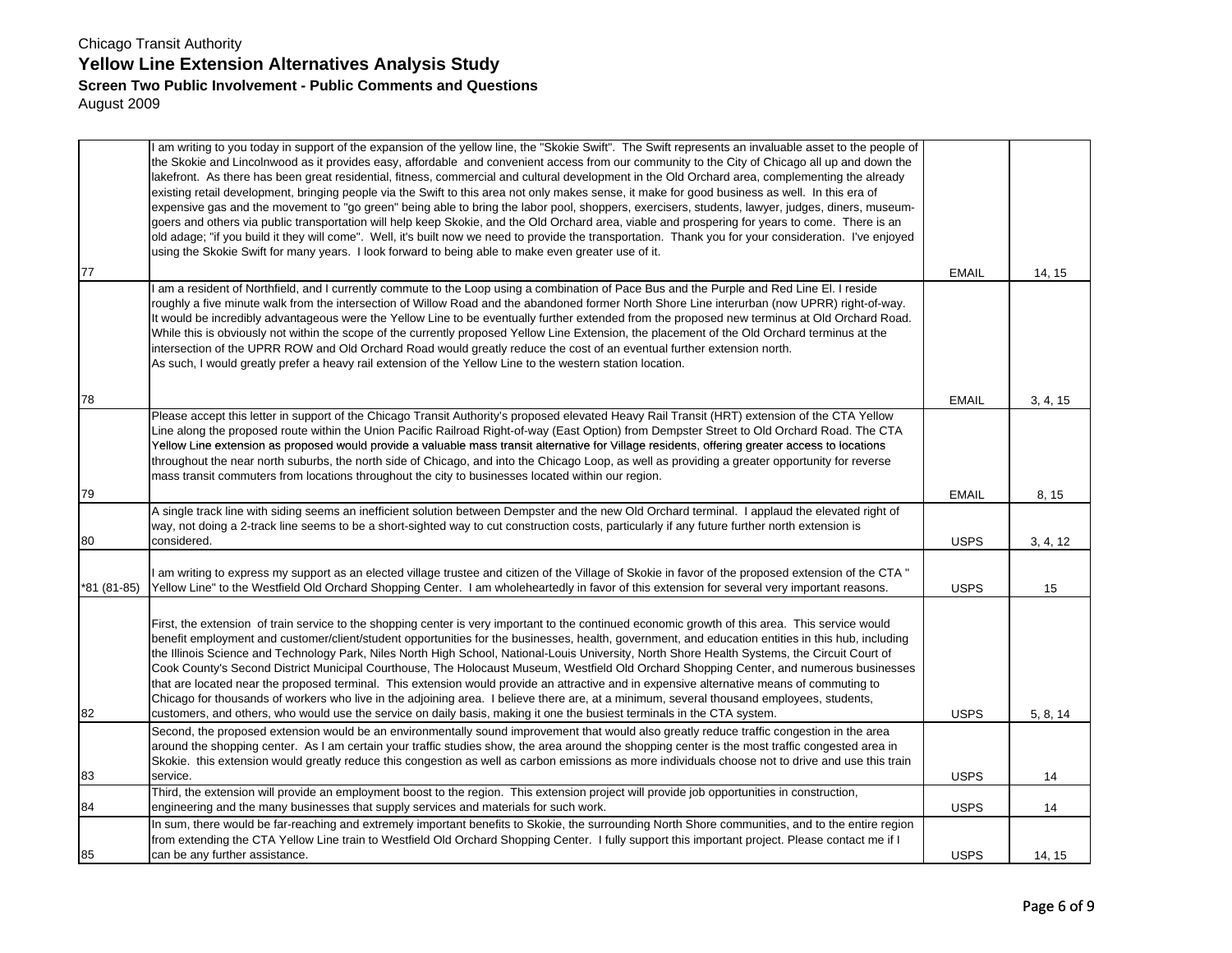|            | I am writing to you today in support of the expansion of the yellow line, the "Skokie Swift". The Swift represents an invaluable asset to the people of<br>the Skokie and Lincolnwood as it provides easy, affordable and convenient access from our community to the City of Chicago all up and down the<br>lakefront. As there has been great residential, fitness, commercial and cultural development in the Old Orchard area, complementing the already<br>existing retail development, bringing people via the Swift to this area not only makes sense, it make for good business as well. In this era of<br>expensive gas and the movement to "go green" being able to bring the labor pool, shoppers, exercisers, students, lawyer, judges, diners, museum-<br>goers and others via public transportation will help keep Skokie, and the Old Orchard area, viable and prospering for years to come. There is an<br>old adage; "if you build it they will come". Well, it's built now we need to provide the transportation. Thank you for your consideration. I've enjoyed<br>using the Skokie Swift for many years. I look forward to being able to make even greater use of it. |              |          |
|------------|-------------------------------------------------------------------------------------------------------------------------------------------------------------------------------------------------------------------------------------------------------------------------------------------------------------------------------------------------------------------------------------------------------------------------------------------------------------------------------------------------------------------------------------------------------------------------------------------------------------------------------------------------------------------------------------------------------------------------------------------------------------------------------------------------------------------------------------------------------------------------------------------------------------------------------------------------------------------------------------------------------------------------------------------------------------------------------------------------------------------------------------------------------------------------------------------|--------------|----------|
| 77         |                                                                                                                                                                                                                                                                                                                                                                                                                                                                                                                                                                                                                                                                                                                                                                                                                                                                                                                                                                                                                                                                                                                                                                                           | <b>EMAIL</b> | 14, 15   |
|            | I am a resident of Northfield, and I currently commute to the Loop using a combination of Pace Bus and the Purple and Red Line El. I reside<br>roughly a five minute walk from the intersection of Willow Road and the abandoned former North Shore Line interurban (now UPRR) right-of-way.<br>It would be incredibly advantageous were the Yellow Line to be eventually further extended from the proposed new terminus at Old Orchard Road.<br>While this is obviously not within the scope of the currently proposed Yellow Line Extension, the placement of the Old Orchard terminus at the<br>intersection of the UPRR ROW and Old Orchard Road would greatly reduce the cost of an eventual further extension north.<br>As such, I would greatly prefer a heavy rail extension of the Yellow Line to the western station location.                                                                                                                                                                                                                                                                                                                                                 |              |          |
| 78         |                                                                                                                                                                                                                                                                                                                                                                                                                                                                                                                                                                                                                                                                                                                                                                                                                                                                                                                                                                                                                                                                                                                                                                                           | <b>EMAIL</b> | 3, 4, 15 |
|            | Please accept this letter in support of the Chicago Transit Authority's proposed elevated Heavy Rail Transit (HRT) extension of the CTA Yellow<br>Line along the proposed route within the Union Pacific Railroad Right-of-way (East Option) from Dempster Street to Old Orchard Road. The CTA<br>Yellow Line extension as proposed would provide a valuable mass transit alternative for Village residents, offering greater access to locations<br>throughout the near north suburbs, the north side of Chicago, and into the Chicago Loop, as well as providing a greater opportunity for reverse<br>mass transit commuters from locations throughout the city to businesses located within our region.                                                                                                                                                                                                                                                                                                                                                                                                                                                                                |              |          |
| 79         |                                                                                                                                                                                                                                                                                                                                                                                                                                                                                                                                                                                                                                                                                                                                                                                                                                                                                                                                                                                                                                                                                                                                                                                           | <b>EMAIL</b> | 8, 15    |
| 80         | A single track line with siding seems an inefficient solution between Dempster and the new Old Orchard terminal. I applaud the elevated right of<br>way, not doing a 2-track line seems to be a short-sighted way to cut construction costs, particularly if any future further north extension is<br>considered.                                                                                                                                                                                                                                                                                                                                                                                                                                                                                                                                                                                                                                                                                                                                                                                                                                                                         | <b>USPS</b>  | 3, 4, 12 |
| 81 (81-85) | am writing to express my support as an elected village trustee and citizen of the Village of Skokie in favor of the proposed extension of the CTA "<br>Yellow Line" to the Westfield Old Orchard Shopping Center. I am wholeheartedly in favor of this extension for several very important reasons.                                                                                                                                                                                                                                                                                                                                                                                                                                                                                                                                                                                                                                                                                                                                                                                                                                                                                      | <b>USPS</b>  | 15       |
| 82         | First, the extension of train service to the shopping center is very important to the continued economic growth of this area. This service would<br>benefit employment and customer/client/student opportunities for the businesses, health, government, and education entities in this hub, including<br>the Illinois Science and Technology Park, Niles North High School, National-Louis University, North Shore Health Systems, the Circuit Court of<br>Cook County's Second District Municipal Courthouse, The Holocaust Museum, Westfield Old Orchard Shopping Center, and numerous businesses<br>that are located near the proposed terminal. This extension would provide an attractive and in expensive alternative means of commuting to<br>Chicago for thousands of workers who live in the adjoining area. I believe there are, at a minimum, several thousand employees, students,<br>customers, and others, who would use the service on daily basis, making it one the busiest terminals in the CTA system.                                                                                                                                                                | <b>USPS</b>  | 5, 8, 14 |
| 83         | Second, the proposed extension would be an environmentally sound improvement that would also greatly reduce traffic congestion in the area<br>around the shopping center. As I am certain your traffic studies show, the area around the shopping center is the most traffic congested area in<br>Skokie. this extension would greatly reduce this congestion as well as carbon emissions as more individuals choose not to drive and use this train<br>service.                                                                                                                                                                                                                                                                                                                                                                                                                                                                                                                                                                                                                                                                                                                          | <b>USPS</b>  | 14       |
|            | Third, the extension will provide an employment boost to the region. This extension project will provide job opportunities in construction,                                                                                                                                                                                                                                                                                                                                                                                                                                                                                                                                                                                                                                                                                                                                                                                                                                                                                                                                                                                                                                               |              |          |
| 84         | engineering and the many businesses that supply services and materials for such work.                                                                                                                                                                                                                                                                                                                                                                                                                                                                                                                                                                                                                                                                                                                                                                                                                                                                                                                                                                                                                                                                                                     | <b>USPS</b>  | 14       |
| 85         | In sum, there would be far-reaching and extremely important benefits to Skokie, the surrounding North Shore communities, and to the entire region<br>from extending the CTA Yellow Line train to Westfield Old Orchard Shopping Center. I fully support this important project. Please contact me if I<br>can be any further assistance.                                                                                                                                                                                                                                                                                                                                                                                                                                                                                                                                                                                                                                                                                                                                                                                                                                                  | <b>USPS</b>  | 14, 15   |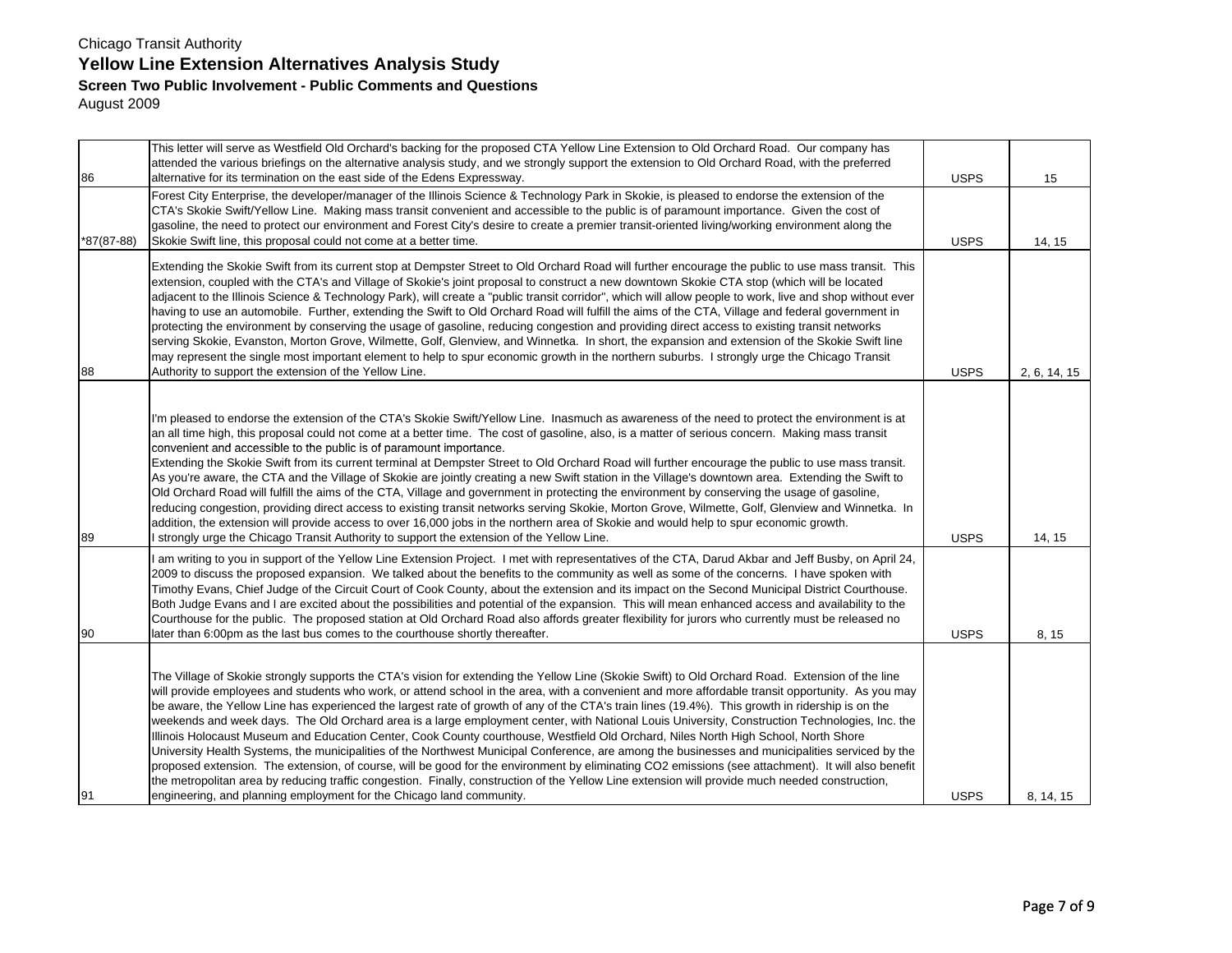| 86         | This letter will serve as Westfield Old Orchard's backing for the proposed CTA Yellow Line Extension to Old Orchard Road. Our company has<br>attended the various briefings on the alternative analysis study, and we strongly support the extension to Old Orchard Road, with the preferred<br>alternative for its termination on the east side of the Edens Expressway.                                                                                                                                                                                                                                                                                                                                                                                                                                                                                                                                                                                                                                                                                                                                                                                                                                                                                                               | <b>USPS</b> | 15           |
|------------|-----------------------------------------------------------------------------------------------------------------------------------------------------------------------------------------------------------------------------------------------------------------------------------------------------------------------------------------------------------------------------------------------------------------------------------------------------------------------------------------------------------------------------------------------------------------------------------------------------------------------------------------------------------------------------------------------------------------------------------------------------------------------------------------------------------------------------------------------------------------------------------------------------------------------------------------------------------------------------------------------------------------------------------------------------------------------------------------------------------------------------------------------------------------------------------------------------------------------------------------------------------------------------------------|-------------|--------------|
| *87(87-88) | Forest City Enterprise, the developer/manager of the Illinois Science & Technology Park in Skokie, is pleased to endorse the extension of the<br>CTA's Skokie Swift/Yellow Line. Making mass transit convenient and accessible to the public is of paramount importance. Given the cost of<br>gasoline, the need to protect our environment and Forest City's desire to create a premier transit-oriented living/working environment along the<br>Skokie Swift line, this proposal could not come at a better time.                                                                                                                                                                                                                                                                                                                                                                                                                                                                                                                                                                                                                                                                                                                                                                     | <b>USPS</b> | 14, 15       |
| 88         | Extending the Skokie Swift from its current stop at Dempster Street to Old Orchard Road will further encourage the public to use mass transit. This<br>extension, coupled with the CTA's and Village of Skokie's joint proposal to construct a new downtown Skokie CTA stop (which will be located<br>adjacent to the Illinois Science & Technology Park), will create a "public transit corridor", which will allow people to work, live and shop without ever<br>having to use an automobile. Further, extending the Swift to Old Orchard Road will fulfill the aims of the CTA, Village and federal government in<br>protecting the environment by conserving the usage of gasoline, reducing congestion and providing direct access to existing transit networks<br>serving Skokie, Evanston, Morton Grove, Wilmette, Golf, Glenview, and Winnetka. In short, the expansion and extension of the Skokie Swift line<br>may represent the single most important element to help to spur economic growth in the northern suburbs. I strongly urge the Chicago Transit<br>Authority to support the extension of the Yellow Line.                                                                                                                                                        | <b>USPS</b> | 2, 6, 14, 15 |
| 89         | I'm pleased to endorse the extension of the CTA's Skokie Swift/Yellow Line. Inasmuch as awareness of the need to protect the environment is at<br>an all time high, this proposal could not come at a better time. The cost of gasoline, also, is a matter of serious concern. Making mass transit<br>convenient and accessible to the public is of paramount importance.<br>Extending the Skokie Swift from its current terminal at Dempster Street to Old Orchard Road will further encourage the public to use mass transit.<br>As you're aware, the CTA and the Village of Skokie are jointly creating a new Swift station in the Village's downtown area. Extending the Swift to<br>Old Orchard Road will fulfill the aims of the CTA, Village and government in protecting the environment by conserving the usage of gasoline,<br>reducing congestion, providing direct access to existing transit networks serving Skokie, Morton Grove, Wilmette, Golf, Glenview and Winnetka. In<br>addition, the extension will provide access to over 16,000 jobs in the northern area of Skokie and would help to spur economic growth.<br>strongly urge the Chicago Transit Authority to support the extension of the Yellow Line.                                                        | <b>USPS</b> | 14, 15       |
| 90         | am writing to you in support of the Yellow Line Extension Project. I met with representatives of the CTA, Darud Akbar and Jeff Busby, on April 24,<br>2009 to discuss the proposed expansion. We talked about the benefits to the community as well as some of the concerns. I have spoken with<br>Timothy Evans, Chief Judge of the Circuit Court of Cook County, about the extension and its impact on the Second Municipal District Courthouse.<br>Both Judge Evans and I are excited about the possibilities and potential of the expansion. This will mean enhanced access and availability to the<br>Courthouse for the public. The proposed station at Old Orchard Road also affords greater flexibility for jurors who currently must be released no<br>later than 6:00pm as the last bus comes to the courthouse shortly thereafter.                                                                                                                                                                                                                                                                                                                                                                                                                                           | <b>USPS</b> | 8, 15        |
| 91         | The Village of Skokie strongly supports the CTA's vision for extending the Yellow Line (Skokie Swift) to Old Orchard Road. Extension of the line<br>will provide employees and students who work, or attend school in the area, with a convenient and more affordable transit opportunity. As you may<br>be aware, the Yellow Line has experienced the largest rate of growth of any of the CTA's train lines (19.4%). This growth in ridership is on the<br>weekends and week days. The Old Orchard area is a large employment center, with National Louis University, Construction Technologies, Inc. the<br>Illinois Holocaust Museum and Education Center, Cook County courthouse, Westfield Old Orchard, Niles North High School, North Shore<br>University Health Systems, the municipalities of the Northwest Municipal Conference, are among the businesses and municipalities serviced by the<br>proposed extension. The extension, of course, will be good for the environment by eliminating CO2 emissions (see attachment). It will also benefit<br>the metropolitan area by reducing traffic congestion. Finally, construction of the Yellow Line extension will provide much needed construction,<br>engineering, and planning employment for the Chicago land community. | <b>USPS</b> | 8, 14, 15    |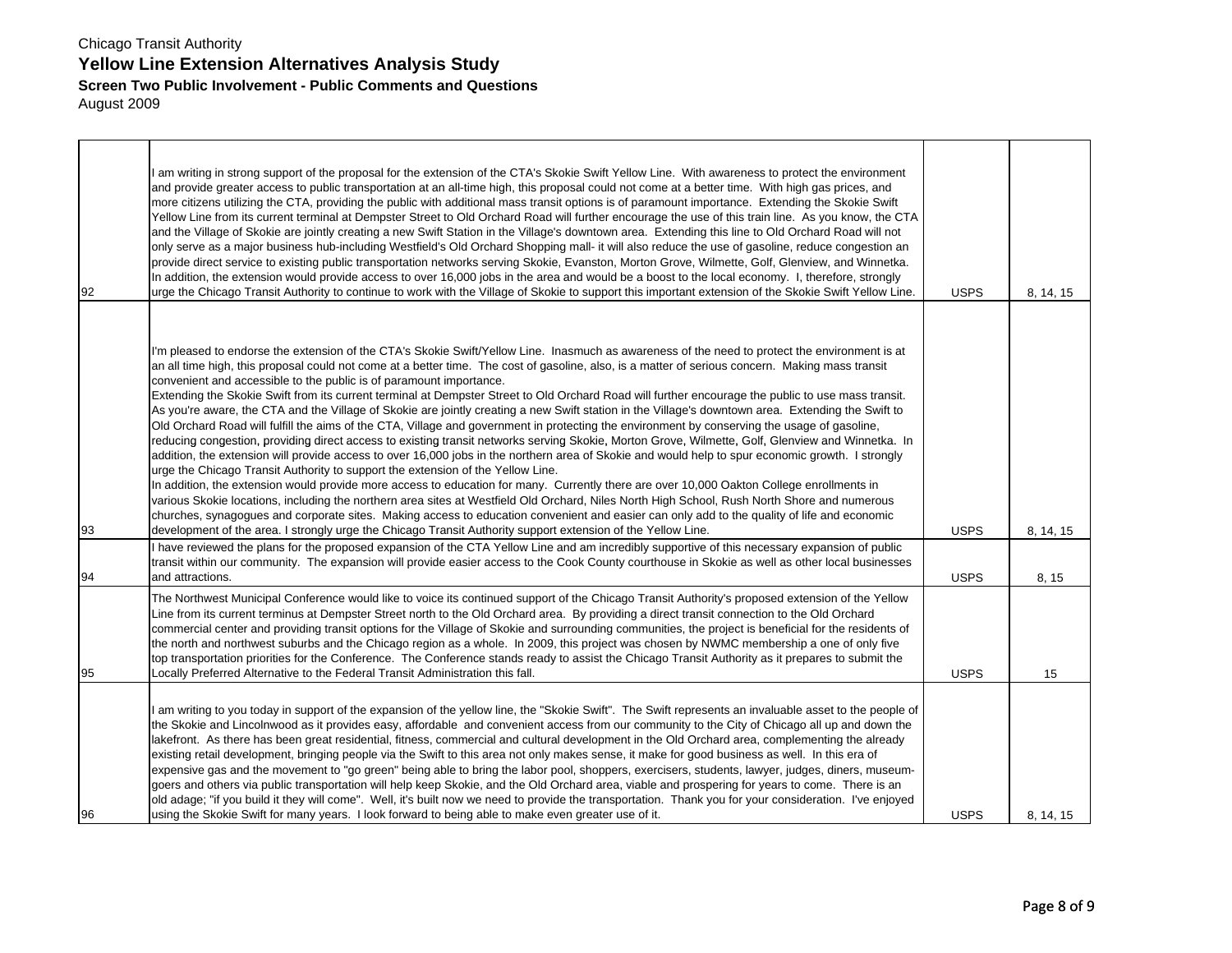| 92 | am writing in strong support of the proposal for the extension of the CTA's Skokie Swift Yellow Line. With awareness to protect the environment<br>and provide greater access to public transportation at an all-time high, this proposal could not come at a better time. With high gas prices, and<br>more citizens utilizing the CTA, providing the public with additional mass transit options is of paramount importance. Extending the Skokie Swift<br>Yellow Line from its current terminal at Dempster Street to Old Orchard Road will further encourage the use of this train line. As you know, the CTA<br>and the Village of Skokie are jointly creating a new Swift Station in the Village's downtown area. Extending this line to Old Orchard Road will not<br>only serve as a major business hub-including Westfield's Old Orchard Shopping mall- it will also reduce the use of gasoline, reduce congestion an<br>provide direct service to existing public transportation networks serving Skokie, Evanston, Morton Grove, Wilmette, Golf, Glenview, and Winnetka.<br>In addition, the extension would provide access to over 16,000 jobs in the area and would be a boost to the local economy. I, therefore, strongly<br>urge the Chicago Transit Authority to continue to work with the Village of Skokie to support this important extension of the Skokie Swift Yellow Line.                                                                                                                                                                                                                                                                                                                                                                                              | <b>USPS</b> | 8, 14, 15 |
|----|------------------------------------------------------------------------------------------------------------------------------------------------------------------------------------------------------------------------------------------------------------------------------------------------------------------------------------------------------------------------------------------------------------------------------------------------------------------------------------------------------------------------------------------------------------------------------------------------------------------------------------------------------------------------------------------------------------------------------------------------------------------------------------------------------------------------------------------------------------------------------------------------------------------------------------------------------------------------------------------------------------------------------------------------------------------------------------------------------------------------------------------------------------------------------------------------------------------------------------------------------------------------------------------------------------------------------------------------------------------------------------------------------------------------------------------------------------------------------------------------------------------------------------------------------------------------------------------------------------------------------------------------------------------------------------------------------------------------------------------------------------------------------------------------|-------------|-----------|
| 93 | I'm pleased to endorse the extension of the CTA's Skokie Swift/Yellow Line. Inasmuch as awareness of the need to protect the environment is at<br>an all time high, this proposal could not come at a better time. The cost of gasoline, also, is a matter of serious concern. Making mass transit<br>convenient and accessible to the public is of paramount importance.<br>Extending the Skokie Swift from its current terminal at Dempster Street to Old Orchard Road will further encourage the public to use mass transit.<br>As you're aware, the CTA and the Village of Skokie are jointly creating a new Swift station in the Village's downtown area. Extending the Swift to<br>Old Orchard Road will fulfill the aims of the CTA, Village and government in protecting the environment by conserving the usage of gasoline,<br>reducing congestion, providing direct access to existing transit networks serving Skokie, Morton Grove, Wilmette, Golf, Glenview and Winnetka. In<br>addition, the extension will provide access to over 16,000 jobs in the northern area of Skokie and would help to spur economic growth. I strongly<br>urge the Chicago Transit Authority to support the extension of the Yellow Line.<br>In addition, the extension would provide more access to education for many. Currently there are over 10,000 Oakton College enrollments in<br>various Skokie locations, including the northern area sites at Westfield Old Orchard, Niles North High School, Rush North Shore and numerous<br>churches, synagogues and corporate sites. Making access to education convenient and easier can only add to the quality of life and economic<br>development of the area. I strongly urge the Chicago Transit Authority support extension of the Yellow Line. | <b>USPS</b> | 8, 14, 15 |
| 94 | I have reviewed the plans for the proposed expansion of the CTA Yellow Line and am incredibly supportive of this necessary expansion of public<br>transit within our community. The expansion will provide easier access to the Cook County courthouse in Skokie as well as other local businesses<br>and attractions.                                                                                                                                                                                                                                                                                                                                                                                                                                                                                                                                                                                                                                                                                                                                                                                                                                                                                                                                                                                                                                                                                                                                                                                                                                                                                                                                                                                                                                                                         | <b>USPS</b> | 8, 15     |
| 95 | The Northwest Municipal Conference would like to voice its continued support of the Chicago Transit Authority's proposed extension of the Yellow<br>Line from its current terminus at Dempster Street north to the Old Orchard area. By providing a direct transit connection to the Old Orchard<br>commercial center and providing transit options for the Village of Skokie and surrounding communities, the project is beneficial for the residents of<br>the north and northwest suburbs and the Chicago region as a whole. In 2009, this project was chosen by NWMC membership a one of only five<br>top transportation priorities for the Conference. The Conference stands ready to assist the Chicago Transit Authority as it prepares to submit the<br>Locally Preferred Alternative to the Federal Transit Administration this fall.                                                                                                                                                                                                                                                                                                                                                                                                                                                                                                                                                                                                                                                                                                                                                                                                                                                                                                                                                 | <b>USPS</b> | 15        |
| 96 | am writing to you today in support of the expansion of the yellow line, the "Skokie Swift". The Swift represents an invaluable asset to the people of<br>the Skokie and Lincolnwood as it provides easy, affordable and convenient access from our community to the City of Chicago all up and down the<br>lakefront. As there has been great residential, fitness, commercial and cultural development in the Old Orchard area, complementing the already<br>existing retail development, bringing people via the Swift to this area not only makes sense, it make for good business as well. In this era of<br>expensive gas and the movement to "go green" being able to bring the labor pool, shoppers, exercisers, students, lawyer, judges, diners, museum-<br>goers and others via public transportation will help keep Skokie, and the Old Orchard area, viable and prospering for years to come. There is an<br>old adage; "if you build it they will come". Well, it's built now we need to provide the transportation. Thank you for your consideration. I've enjoyed<br>using the Skokie Swift for many years. I look forward to being able to make even greater use of it.                                                                                                                                                                                                                                                                                                                                                                                                                                                                                                                                                                                                        | <b>USPS</b> | 8, 14, 15 |